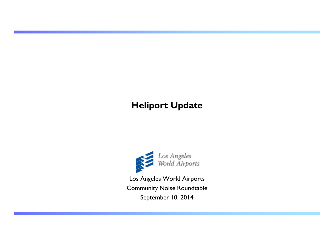# **Heliport Update**



Los Angeles World Airports Community Noise Roundtable September 10, 2014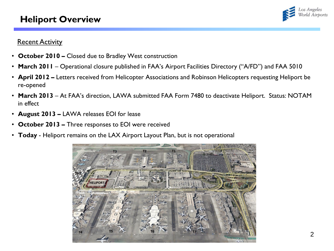## **Heliport Overview**



### **Recent Activity**

- **October 2010 –** Closed due to Bradley West construction
- **March 2011** Operational closure published in FAA's Airport Facilities Directory ("A/FD") and FAA 5010
- **April 2012 –** Letters received from Helicopter Associations and Robinson Helicopters requesting Heliport be re-opened
- **March 2013** At FAA's direction, LAWA submitted FAA Form 7480 to deactivate Heliport. Status: NOTAM in effect
- **August 2013 –** LAWA releases EOI for lease
- **October 2013 –** Three responses to EOI were received
- **Today**  Heliport remains on the LAX Airport Layout Plan, but is not operational

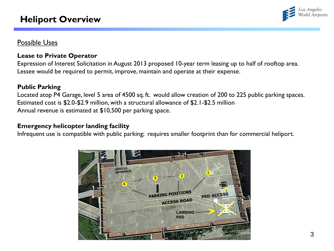## **Heliport Overview**



## Possible Uses

#### **Lease to Private Operator**

Expression of Interest Solicitation in August 2013 proposed 10-year term leasing up to half of rooftop area. Lessee would be required to permit, improve, maintain and operate at their expense.

### **Public Parking**

Located atop P4 Garage, level 5 area of 4500 sq. ft. would allow creation of 200 to 225 public parking spaces. Estimated cost is \$2.0-\$2.9 million, with a structural allowance of \$2.1-\$2.5 million Annual revenue is estimated at \$10,500 per parking space.

### **Emergency helicopter landing facility**

Infrequent use is compatible with public parking; requires smaller footprint than for commercial heliport.